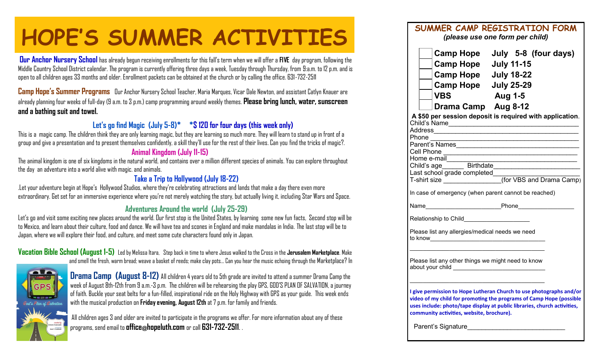# **HOPE'S SUMMER ACTIVITIES** SUMMER CAMP REGISTRATION FORM

**Our Anchor Nursery School** has already begun receiving enrollments for this fall's term when we will offer a **FIVE** day program, following the Middle Country School District calendar. The program is currently offering three days a week, Tuesday through Thursday, from 9:a.m. to 12 p.m. and is open to all children ages 33 months and older. Enrollment packets can be obtained at the church or by calling the office. 631-732-2511

**Camp Hope's Summer Programs** Dur Anchor Nursery School Teacher, Maria Marques, Vicar Dale Newton, and assistant Catlyn Knauer are already planning four weeks of full-day (9 a.m. to 3 p.m.) camp programming around weekly themes. **Please bring lunch, water, sunscreen and a bathing suit and towel.**

### **Let's go find Magic (July 5-8)\* \*\$ 120 for four days (this week only)**

This is a magic camp. The children think they are only learning magic, but they are learning so much more. They will learn to stand up in front of a group and give a presentation and to present themselves confidently, a skill they'll use for the rest of their lives. Can you find the tricks of magic?.

#### **Animal Kingdom (July 11-15)**

The animal kingdom is one of six kingdoms in the natural world, and contains over a million different species of animals. You can explore throughout the day an adventure into a world alive with magic. and animals.

#### **Take a Trip to Hollywood (July 18-22)**

.Let your adventure begin at Hope's Hollywood Studios, where they're celebrating attractions and lands that make a day there even more extraordinary. Get set for an immersive experience where you're not merely watching the story, but actually living it, including Star Wars and Space.

#### **Adventures Around the world (July 25-29)**

Let's go and visit some exciting new places around the world. Our first stop is the United States, by learning some new fun facts, Second stop will be to Mexico, and learn about their culture, food and dance. We will have tea and scones in England and make mandalas in India. The last stop will be to Japan, where we will explore their food, and culture, and meet some cute characters found only in Japan.

**Vacation Bible School (August 1-5)** Led by Melissa Itara, Step back in time to where Jesus walked to the Cross in the **Jerusalem Marketplace**. Make and smell the fresh, warm bread; weave a basket of reeds; make clay pots... Can you hear the music echoing through the Marketplace? In



**Drama Camp (August 8-12)** All children 4 years old to 5th grade are invited to attend a summer Drama Camp the week of August 8th-12th from 9 a.m.-3 p.m. The children will be rehearsing the play GPS, GOD'S PLAN OF SALVATION, a journey of faith. Buckle your seat belts for a fun-filled, inspirational ride on the Holy Highway with GPS as your guide. This week ends with the musical production on **Friday evening, August 12th** at 7 p.m. for family and friends.

All children ages 3 and older are invited to participate in the programs we offer. For more information about any of these programs, send email to **office@hopeluth.com** or call **631-732-2511**. .

| ININCR CAINT REGIOTRATION FORM<br>(please use one form per child)                                                                                                                                                                                                   |
|---------------------------------------------------------------------------------------------------------------------------------------------------------------------------------------------------------------------------------------------------------------------|
| Camp Hope July 5-8 (four days)<br>Camp Hope July 11-15<br>Camp Hope July 18-22<br>Camp Hope July 25-29<br><b>Aug 1-5</b><br><b>VBS</b><br><b>Numa Camp</b> Aug 8-12                                                                                                 |
| A \$50 per session deposit is required with application.<br>Child's Name___ <del>_________________________</del> _____<br>Phone <u>_______________________</u>                                                                                                      |
| Parent's Names_________________________________<br>Cell Phone<br>Home e-mail<br>Child's age Birthdate<br>Last school grade completed<br>T-shirt size (for VBS and Drama Camp)                                                                                       |
| In case of emergency (when parent cannot be reached)                                                                                                                                                                                                                |
|                                                                                                                                                                                                                                                                     |
| Please list any allergies/medical needs we need                                                                                                                                                                                                                     |
| Please list any other things we might need to know                                                                                                                                                                                                                  |
| I give permission to Hope Lutheran Church to use photographs and/or<br>video of my child for promoting the programs of Camp Hope (possible<br>uses include: photo/tape display at public libraries, church activities,<br>community activities, website, brochure). |
| Parent's Signature                                                                                                                                                                                                                                                  |